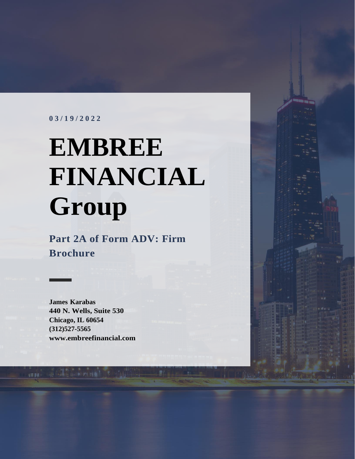#### **0 3 / 1 9 / 2 0 2 2**

# **EMBREE FINANCIAL Group**

**Part 2A of Form ADV: Firm Brochure**

**James Karabas 440 N. Wells, Suite 530 Chicago, IL 60654 (312)527-5565 [www.embreefinancial.com](http://www.embreefinancial.com/)**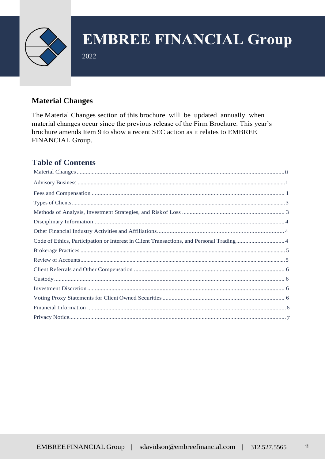

2022

#### <span id="page-1-0"></span>**Material Changes**

The Material Changes section of this brochure will be updated annually when material changes occur since the previous release of the Firm Brochure. This year's brochure amends Item 9 to show a recent SEC action as it relates to EMBREE FINANCIAL Group.

#### **Table of Contents**

| Code of Ethics, Participation or Interest in Client Transactions, and Personal Trading 4 |  |
|------------------------------------------------------------------------------------------|--|
|                                                                                          |  |
|                                                                                          |  |
|                                                                                          |  |
|                                                                                          |  |
|                                                                                          |  |
|                                                                                          |  |
|                                                                                          |  |
|                                                                                          |  |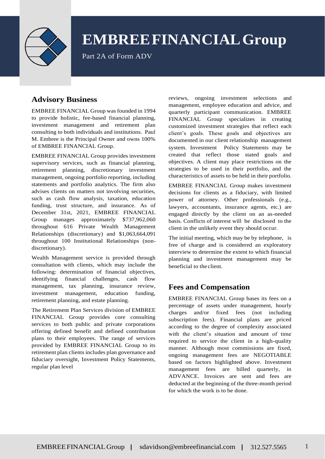

Part 2A of Form ADV

#### <span id="page-2-0"></span>**Advisory Business**

EMBREE FINANCIAL Group wasfounded in 1994 to provide holistic, fee-based financial planning, investment management and retirement plan consulting to both individuals and institutions. Paul M. Embree is the Principal Owner and owns 100% of EMBREE FINANCIAL Group.

EMBREE FINANCIAL Group provides investment supervisory services, such as financial planning, retirement planning, discretionary investment management, ongoing portfolio reporting, including statements and portfolio analytics. The firm also advises clients on matters not involving securities, such as cash flow analysis, taxation, education funding, trust structure, and insurance. As of December 31st, 2021, EMBREE FINANCIAL Group manages approximately \$737,962,060 throughout 616 Private Wealth Management Relationships (discretionary) and \$1,063,664,091 throughout 100 Institutional Relationships (nondiscretionary).

Wealth Management service is provided through consultation with clients, which may include the following: determination of financial objectives, identifying financial challenges, cash flow management, tax planning, insurance review, investment management, education funding, retirement planning, and estate planning.

The Retirement Plan Services division of EMBREE FINANCIAL Group provides core consulting services to both public and private corporations offering defined benefit and defined contribution plans to their employees. The range of services provided by EMBREE FINANCIAL Group to its retirement plan clients includes plan governance and fiduciary oversight, Investment Policy Statements, regular plan level

reviews, ongoing investment selections and management, employee education and advice, and quarterly participant communication. EMBREE FINANCIAL Group specializes in creating customized investment strategies that reflect each client's goals. These goals and objectives are documented in our client relationship management system. Investment Policy Statements may be created that reflect those stated goals and objectives. A client may place restrictions on the strategies to be used in their portfolio, and the characteristics of assets to be held in their portfolio.

EMBREE FINANCIAL Group makes investment decisions for clients as a fiduciary, with limited power of attorney. Other professionals (e.g., lawyers, accountants, insurance agents, etc.) are engaged directly by the client on an as-needed basis. Conflicts of interest will be disclosed to the client in the unlikely event they should occur.

The initial meeting, which may be by telephone, is free of charge and is considered an exploratory interview to determine the extent to which financial planning and investment management may be beneficial to the client.

#### <span id="page-2-1"></span>**Fees and Compensation**

EMBREE FINANCIAL Group bases its fees on a percentage of assets under management, hourly charges and/or fixed fees (not including subscription fees). Financial plans are priced according to the degree of complexity associated with the client's situation and amount of time required to service the client in a high-quality manner. Although most commissions are fixed, ongoing management fees are NEGOTIABLE based on factors highlighted above. Investment management fees are billed quarterly, in ADVANCE. Invoices are sent and fees are deducted at the beginning of the three-month period for which the work is to be done.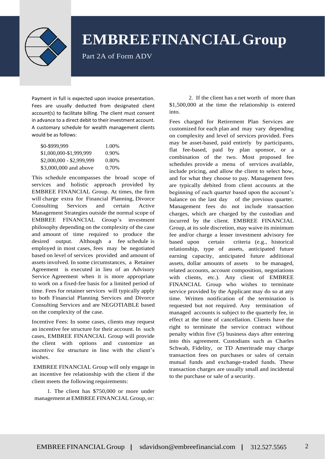

Part 2A of Form ADV

Payment in full is expected upon invoice presentation. Fees are usually deducted from designated client account(s) to facilitate billing. The client must consent in advance to a direct debit to their investment account. A customary schedule for wealth management clients would be as follows:

| \$0-\$999,999             | 1.00%    |
|---------------------------|----------|
| \$1,000,000-\$1,999,999   | $0.90\%$ |
| \$2,000,000 - \$2,999,999 | 0.80%    |
| \$3,000,000 and above     | 0.70%    |

This schedule encompasses the broad scope of services and holistic approach provided by EMBREE FINANCIAL Group. At times, the firm will charge extra for Financial Planning, Divorce Consulting Services and certain Active Management Strategies outside the normal scope of EMBREE FINANCIAL Group's investment philosophy depending on the complexity of the case and amount of time required to produce the desired output. Although a fee schedule is employed in most cases, fees may be negotiated based on level of services provided and amount of assets involved. In some circumstances, a Retainer Agreement is executed in lieu of an Advisory Service Agreement when it is more appropriate to work on a fixed-fee basis for a limited period of time. Fees for retainer services will typically apply to both Financial Planning Services and Divorce Consulting Services and are NEGOTIABLE based on the complexity of the case.

Incentive Fees: In some cases, clients may request an incentive fee structure for their account. In such cases, EMBREE FINANCIAL Group will provide the client with options and customize an incentive fee structure in line with the client's wishes.

EMBREE FINANCIAL Group will only engage in an incentive fee relationship with the client if the client meets the following requirements:

1. The client has \$750,000 or more under management at EMBREE FINANCIAL Group, or:

2. If the client has a net worth of more than \$1,500,000 at the time the relationship is entered into.

Fees charged for Retirement Plan Services are customized for each plan and may vary depending on complexity and level of services provided. Fees may be asset-based, paid entirely by participants, flat fee-based, paid by plan sponsor, or a combination of the two. Most proposed fee schedules provide a menu of services available, include pricing, and allow the client to select how, and for what they choose to pay. Management fees are typically debited from client accounts at the beginning of each quarter based upon the account's balance on the last day of the previous quarter. Management fees do not include transaction charges, which are charged by the custodian and incurred by the client. EMBREE FINANCIAL Group, at its sole discretion, may waive its minimum fee and/or charge a lesser investment advisory fee based upon certain criteria (e.g., historical relationship, type of assets, anticipated future earning capacity, anticipated future additional assets, dollar amounts of assets to be managed, related accounts, account composition, negotiations with clients, etc.). Any client of EMBREE FINANCIAL Group who wishes to terminate service provided by the Applicant may do so at any time. Written notification of the termination is requested but not required. Any termination of managed accounts is subject to the quarterly fee, in effect at the time of cancellation. Clients have the right to terminate the service contract without penalty within five (5) business days after entering into this agreement. Custodians such as Charles Schwab, Fidelity, or TD Ameritrade may charge transaction fees on purchases or sales of certain mutual funds and exchange-traded funds. These transaction charges are usually small and incidental to the purchase or sale of a security.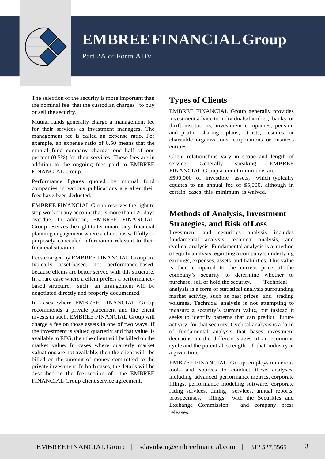

Part 2A of Form ADV

The selection of the security is more important than the nominal fee that the custodian charges to buy or sell the security.

Mutual funds generally charge a management fee for their services as investment managers. The management fee is called an expense ratio. For example, an expense ratio of 0.50 means that the mutual fund company charges one half of one percent (0.5%) for their services. These fees are in addition to the ongoing fees paid to EMBREE FINANCIAL Group.

Performance figures quoted by mutual fund companies in various publications are after their fees have been deducted.

EMBREE FINANCIAL Group reserves the right to stop work on any account that is more than 120 days overdue. In addition, EMBREE FINANCIAL Group reserves the right to terminate any financial planning engagement where a client has willfully or purposely concealed information relevant to their financial situation.

Fees charged by EMBREE FINANCIAL Group are typically asset-based, not performance-based, because clients are better served with this structure. In a rare case where a client prefers a performancebased structure, such an arrangement will be negotiated directly and properly documented.

<span id="page-4-0"></span>In cases where EMBREE FINANCIAL Group recommends a private placement and the client invests in such, EMBREE FINANCIAL Group will charge a fee on those assets in one of two ways. If the investment is valued quarterly and that value is available to EFG, then the client will be billed on the market value. In cases where quarterly market valuations are not available, then the client will be billed on the amount of money committed to the private investment. In both cases, the details will be described in the fee section of the EMBREE FINANCIAL Group client service agreement.

#### **Types of Clients**

EMBREE FINANCIAL Group generally provides investment advice to individuals/families, banks or thrift institutions, investment companies, pension and profit sharing plans, trusts, estates, or charitable organizations, corporations or business entities.

Client relationships vary in scope and length of service. Generally speaking, EMBREE FINANCIAL Group account minimums are \$500,000 of investible assets, which typically equates to an annual fee of \$5,000, although in certain cases this minimum is waived.

#### <span id="page-4-1"></span>**Methods of Analysis, Investment Strategies, and Risk ofLoss**

Investment and securities analysis includes fundamental analysis, technical analysis, and cyclical analysis. Fundamental analysis is a method of equity analysis regarding a company's underlying earnings, expenses, assets and liabilities. This value is then compared to the current price of the company's security to determine whether to purchase, sell or hold the security. Technical analysis is a form of statistical analysis surrounding market activity, such as past prices and trading volumes. Technical analysis is not attempting to measure a security's current value, but instead it seeks to identify patterns that can predict future activity for that security. Cyclical analysis is a form of fundamental analysis that bases investment decisions on the different stages of an economic cycle and the potential strength of that industry at a given time.

EMBREE FINANCIAL Group employs numerous tools and sources to conduct these analyses, including advanced performance metrics, corporate filings, performance modeling software, corporate rating services, timing services, annual reports, prospectuses, filings with the Securities and Exchange Commission, and company press releases.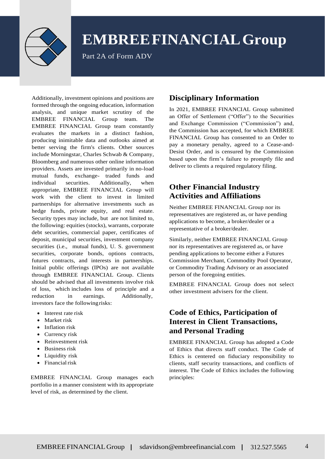

Part 2A of Form ADV

Additionally, investment opinions and positions are formed through the ongoing education, information analysis, and unique market scrutiny of the EMBREE FINANCIAL Group team. The EMBREE FINANCIAL Group team constantly evaluates the markets in a distinct fashion, producing inimitable data and outlooks aimed at better serving the firm's clients. Other sources include Morningstar, Charles Schwab & Company, Bloomberg and numerous other online information providers. Assets are invested primarily in no-load mutual funds, exchange- traded funds and individual securities. Additionally, when appropriate, EMBREE FINANCIAL Group will work with the client to invest in limited partnerships for alternative investments such as hedge funds, private equity, and real estate. Security types may include, but are not limited to, the following: equities (stocks), warrants, corporate debt securities, commercial paper, certificates of deposit, municipal securities, investment company securities (i.e., mutual funds), U. S. government securities, corporate bonds, options contracts, futures contracts, and interests in partnerships. Initial public offerings (IPOs) are not available through EMBREE FINANCIAL Group. Clients should be advised that all investments involve risk of loss, which includes loss of principle and a reduction in earnings. Additionally, investors face the followingrisks:

- Interest rate risk
- Market risk
- Inflation risk
- Currency risk
- Reinvestment risk
- Business risk
- Liquidity risk
- $\bullet$  Financial risk

<span id="page-5-0"></span>EMBREE FINANCIAL Group manages each portfolio in a manner consistent with its appropriate level of risk, as determined by the client.

#### **Disciplinary Information**

In 2021, EMBREE FINANCIAL Group submitted an Offer of Settlement ("Offer") to the Securities and Exchange Commission ("Commission") and, the Commission has accepted, for which EMBREE FINANCIAL Group has consented to an Order to pay a monetary penalty, agreed to a Cease-and-Desist Order, and is censured by the Commission based upon the firm's failure to promptly file and deliver to clients a required regulatory filing.

#### <span id="page-5-1"></span>**Other Financial Industry Activities and Affiliations**

Neither EMBREE FINANCIAL Group nor its representatives are registered as, or have pending applications to become, a broker/dealer or a representative of a broker/dealer.

Similarly, neither EMBREE FINANCIAL Group nor its representatives are registered as, or have pending applications to become either a Futures Commission Merchant, Commodity Pool Operator, or Commodity Trading Advisory or an associated person of the foregoing entities.

EMBREE FINANCIAL Group does not select other investment advisers for the client.

#### **Code of Ethics, Participation of Interest in Client Transactions, and Personal Trading**

EMBREE FINANCIAL Group has adopted a Code of Ethics that directs staff conduct. The Code of Ethics is centered on fiduciary responsibility to clients, staff security transactions, and conflicts of interest. The Code of Ethics includes the following principles: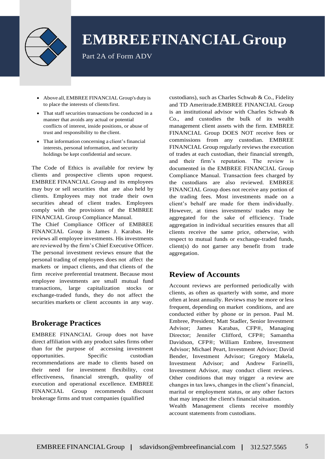

Part 2A of Form ADV

- Above all, EMBREE FINANCIAL Group's duty is to place the interests of clientsfirst.
- That staff securities transactions be conducted in a manner that avoids any actual or potential conflicts of interest, inside positions, or abuse of trust and responsibility to the client.
- That information concerning a client's financial interests, personal information, and security holdings be kept confidential and secure.

The Code of Ethics is available for review by clients and prospective clients upon request. EMBREE FINANCIAL Group and its employees may buy or sell securities that are also held by clients. Employees may not trade their own securities ahead of client trades. Employees comply with the provisions of the EMBREE FINANCIAL Group Compliance Manual.

The Chief Compliance Officer of EMBREE FINANCIAL Group is James J. Karabas. He reviews all employee investments. His investments are reviewed by the firm's Chief Executive Officer. The personal investment reviews ensure that the personal trading of employees does not affect the markets or impact clients, and that clients of the firm receive preferential treatment. Because most employee investments are small mutual fund transactions, large capitalization stocks or exchange-traded funds, they do not affect the securities markets or client accounts in any way.

#### <span id="page-6-0"></span>**Brokerage Practices**

EMBREE FINANCIAL Group does not have direct affiliation with any product sales firms other than for the purpose of accessing investment opportunities. Specific custodian recommendations are made to clients based on their need for investment flexibility, cost effectiveness, financial strength, quality of execution and operational excellence. EMBREE FINANCIAL Group recommends discount brokerage firms and trust companies (qualified

custodians), such as Charles Schwab & Co., Fidelity and TD Ameritrade.EMBREE FINANCIAL Group is an institutional advisor with Charles Schwab & Co., and custodies the bulk of its wealth management client assets with the firm. EMBREE FINANCIAL Group DOES NOT receive fees or commissions from any custodian. EMBREE FINANCIAL Group regularly reviews the execution of trades at each custodian, their financial strength, and their firm's reputation. The review is documented in the EMBREE FINANCIAL Group Compliance Manual. Transaction fees charged by the custodians are also reviewed. EMBREE FINANCIAL Group does not receive any portion of the trading fees. Most investments made on a client's behalf are made for them individually. However, at times investments/ trades may be aggregated for the sake of efficiency. Trade aggregation in individual securities ensures that all clients receive the same price, otherwise, with respect to mutual funds or exchange-traded funds, client(s) do not garner any benefit from trade aggregation.

#### <span id="page-6-1"></span>**Review of Accounts**

Account reviews are performed periodically with clients, as often as quarterly with some, and more often at least annually. Reviews may be more or less frequent, depending on market conditions, and are conducted either by phone or in person. Paul M. Embree, President; Matt Stadler, Senior Investment Advisor; James Karabas, CFP®, Managing Director; Jennifer Clifford, CFP®; Samantha Davidson, CFP®; William Embree, Investment Advisor; Michael Peart, Investment Advisor; David Bender, Investment Advisor; Gregory Makela, Investment Advisor; and Andrew Farinelli, Investment Advisor, may conduct client reviews. Other conditions that may trigger a review are changes in tax laws, changes in the client's financial, marital or employment status, or any other factors that may impact the client's financial situation.

Wealth Management clients receive monthly account statements from custodians.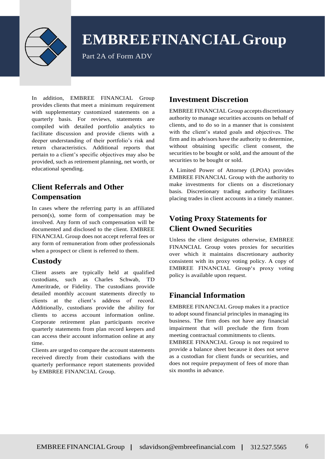

Part 2A of Form ADV

In addition, EMBREE FINANCIAL Group provides clients that meet a minimum requirement with supplementary customized statements on a quarterly basis. For reviews, statements are compiled with detailed portfolio analytics to facilitate discussion and provide clients with a deeper understanding of their portfolio's risk and return characteristics. Additional reports that pertain to a client's specific objectives may also be provided, such as retirement planning, net worth, or educational spending.

#### <span id="page-7-0"></span>**Client Referrals and Other Compensation**

In cases where the referring party is an affiliated person(s), some form of compensation may be involved. Any form of such compensation will be documented and disclosed to the client. EMBREE FINANCIAL Group does not accept referral fees or any form of remuneration from other professionals when a prospect or client is referred to them.

#### <span id="page-7-1"></span>**Custody**

Client assets are typically held at qualified custodians, such as Charles Schwab, TD Ameritrade, or Fidelity. The custodians provide detailed monthly account statements directly to clients at the client's address of record. Additionally, custodians provide the ability for clients to access account information online. Corporate retirement plan participants receive quarterly statements from plan record keepers and can access their account information online at any time.

<span id="page-7-2"></span>Clients are urged to compare the account statements received directly from their custodians with the quarterly performance report statements provided by EMBREE FINANCIAL Group.

#### **Investment Discretion**

EMBREE FINANCIAL Group accepts discretionary authority to manage securities accounts on behalf of clients, and to do so in a manner that is consistent with the client's stated goals and objectives. The firm and its advisors have the authority to determine, without obtaining specific client consent, the securities to be bought or sold, and the amount of the securities to be bought or sold.

A Limited Power of Attorney (LPOA) provides EMBREE FINANCIAL Group with the authority to make investments for clients on a discretionary basis. Discretionary trading authority facilitates placing trades in client accounts in a timely manner.

#### <span id="page-7-3"></span>**Voting Proxy Statements for Client Owned Securities**

Unless the client designates otherwise, EMBREE FINANCIAL Group votes proxies for securities over which it maintains discretionary authority consistent with its proxy voting policy. A copy of EMBREE FINANCIAL Group's proxy voting policy is available upon request.

#### <span id="page-7-4"></span>**Financial Information**

EMBREE FINANCIAL Group makes it a practice to adopt sound financial principles in managing its business. The firm does not have any financial impairment that will preclude the firm from meeting contractual commitments to clients.

EMBREE FINANCIAL Group is not required to provide a balance sheet because it does not serve as a custodian for client funds or securities, and does not require prepayment of fees of more than six months in advance.